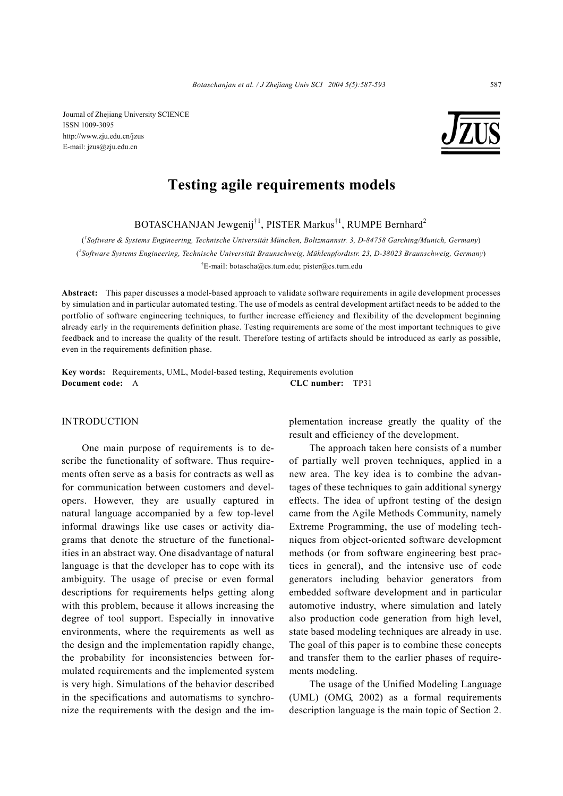Journal of Zhejiang University SCIENCE ISSN 1009-3095 http://www.zju.edu.cn/jzus E-mail: jzus@zju.edu.cn



# **Testing agile requirements models**

BOTASCHANJAN Jewgenij<sup>†1</sup>, PISTER Markus<sup>†1</sup>, RUMPE Bernhard<sup>2</sup>

( *1 Software & Systems Engineering, Technische Universität München, Boltzmannstr. 3, D-84758 Garching/Munich, Germany*) ( *2 Software Systems Engineering, Technische Universität Braunschweig, Mühlenpfordtstr. 23, D-38023 Braunschweig, Germany*) †E-mail: botascha@cs.tum.edu; pister@cs.tum.edu

**Abstract:** This paper discusses a model-based approach to validate software requirements in agile development processes by simulation and in particular automated testing. The use of models as central development artifact needs to be added to the portfolio of software engineering techniques, to further increase efficiency and flexibility of the development beginning already early in the requirements definition phase. Testing requirements are some of the most important techniques to give feedback and to increase the quality of the result. Therefore testing of artifacts should be introduced as early as possible, even in the requirements definition phase.

**Key words:** Requirements, UML, Model-based testing, Requirements evolution **Document code:** A **CLC number:** TP31

#### INTRODUCTION

One main purpose of requirements is to describe the functionality of software. Thus requirements often serve as a basis for contracts as well as for communication between customers and developers. However, they are usually captured in natural language accompanied by a few top-level informal drawings like use cases or activity diagrams that denote the structure of the functionalities in an abstract way. One disadvantage of natural language is that the developer has to cope with its ambiguity. The usage of precise or even formal descriptions for requirements helps getting along with this problem, because it allows increasing the degree of tool support. Especially in innovative environments, where the requirements as well as the design and the implementation rapidly change, the probability for inconsistencies between formulated requirements and the implemented system is very high. Simulations of the behavior described in the specifications and automatisms to synchronize the requirements with the design and the implementation increase greatly the quality of the result and efficiency of the development.

The approach taken here consists of a number of partially well proven techniques, applied in a new area. The key idea is to combine the advantages of these techniques to gain additional synergy effects. The idea of upfront testing of the design came from the Agile Methods Community, namely Extreme Programming, the use of modeling techniques from object-oriented software development methods (or from software engineering best practices in general), and the intensive use of code generators including behavior generators from embedded software development and in particular automotive industry, where simulation and lately also production code generation from high level, state based modeling techniques are already in use. The goal of this paper is to combine these concepts and transfer them to the earlier phases of requirements modeling.

The usage of the Unified Modeling Language (UML) (OMG, 2002) as a formal requirements description language is the main topic of Section 2.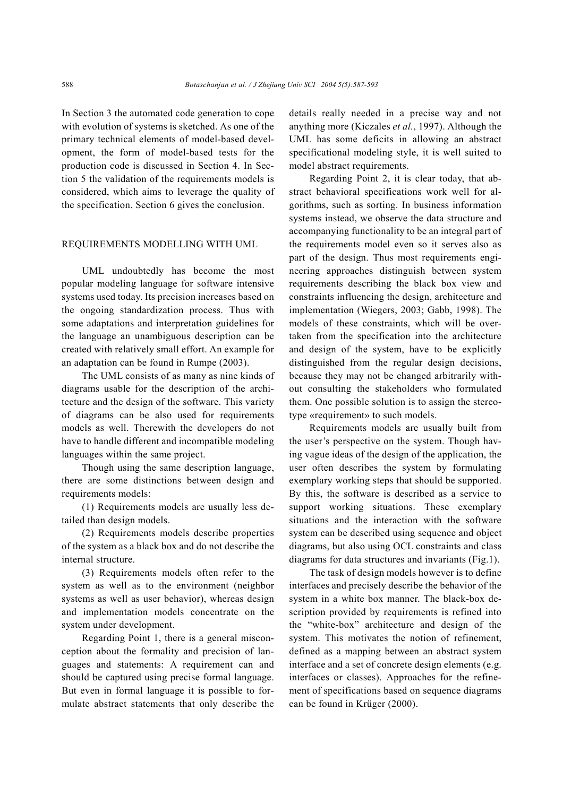In Section 3 the automated code generation to cope with evolution of systems is sketched. As one of the primary technical elements of model-based development, the form of model-based tests for the production code is discussed in Section 4. In Section 5 the validation of the requirements models is considered, which aims to leverage the quality of the specification. Section 6 gives the conclusion.

## REQUIREMENTS MODELLING WITH UML

UML undoubtedly has become the most popular modeling language for software intensive systems used today. Its precision increases based on the ongoing standardization process. Thus with some adaptations and interpretation guidelines for the language an unambiguous description can be created with relatively small effort. An example for an adaptation can be found in Rumpe (2003).

The UML consists of as many as nine kinds of diagrams usable for the description of the architecture and the design of the software. This variety of diagrams can be also used for requirements models as well. Therewith the developers do not have to handle different and incompatible modeling languages within the same project.

Though using the same description language, there are some distinctions between design and requirements models:

(1) Requirements models are usually less detailed than design models.

(2) Requirements models describe properties of the system as a black box and do not describe the internal structure.

(3) Requirements models often refer to the system as well as to the environment (neighbor systems as well as user behavior), whereas design and implementation models concentrate on the system under development.

Regarding Point 1, there is a general misconception about the formality and precision of languages and statements: A requirement can and should be captured using precise formal language. But even in formal language it is possible to formulate abstract statements that only describe the

details really needed in a precise way and not anything more (Kiczales *et al.*, 1997). Although the UML has some deficits in allowing an abstract specificational modeling style, it is well suited to model abstract requirements.

Regarding Point 2, it is clear today, that abstract behavioral specifications work well for algorithms, such as sorting. In business information systems instead, we observe the data structure and accompanying functionality to be an integral part of the requirements model even so it serves also as part of the design. Thus most requirements engineering approaches distinguish between system requirements describing the black box view and constraints influencing the design, architecture and implementation (Wiegers, 2003; Gabb, 1998). The models of these constraints, which will be overtaken from the specification into the architecture and design of the system, have to be explicitly distinguished from the regular design decisions, because they may not be changed arbitrarily without consulting the stakeholders who formulated them. One possible solution is to assign the stereotype «requirement» to such models.

Requirements models are usually built from the user's perspective on the system. Though having vague ideas of the design of the application, the user often describes the system by formulating exemplary working steps that should be supported. By this, the software is described as a service to support working situations. These exemplary situations and the interaction with the software system can be described using sequence and object diagrams, but also using OCL constraints and class diagrams for data structures and invariants (Fig.1).

The task of design models however is to define interfaces and precisely describe the behavior of the system in a white box manner. The black-box description provided by requirements is refined into the "white-box" architecture and design of the system. This motivates the notion of refinement, defined as a mapping between an abstract system interface and a set of concrete design elements (e.g. interfaces or classes). Approaches for the refinement of specifications based on sequence diagrams can be found in Krüger (2000).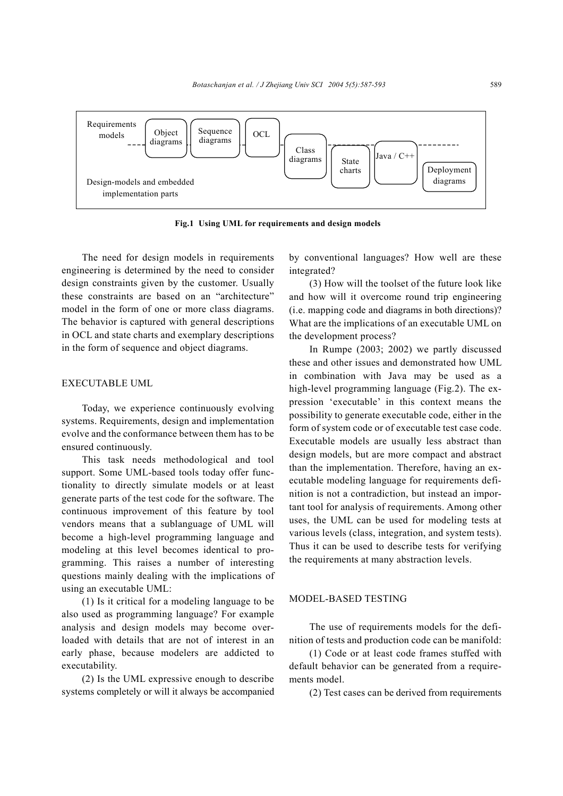

**Fig.1 Using UML for requirements and design models** 

The need for design models in requirements engineering is determined by the need to consider design constraints given by the customer. Usually these constraints are based on an "architecture" model in the form of one or more class diagrams. The behavior is captured with general descriptions in OCL and state charts and exemplary descriptions in the form of sequence and object diagrams.

## EXECUTABLE UML

Today, we experience continuously evolving systems. Requirements, design and implementation evolve and the conformance between them has to be ensured continuously.

This task needs methodological and tool support. Some UML-based tools today offer functionality to directly simulate models or at least generate parts of the test code for the software. The continuous improvement of this feature by tool vendors means that a sublanguage of UML will become a high-level programming language and modeling at this level becomes identical to programming. This raises a number of interesting questions mainly dealing with the implications of using an executable UML:

(1) Is it critical for a modeling language to be also used as programming language? For example analysis and design models may become overloaded with details that are not of interest in an early phase, because modelers are addicted to executability.

(2) Is the UML expressive enough to describe systems completely or will it always be accompanied by conventional languages? How well are these integrated?

(3) How will the toolset of the future look like and how will it overcome round trip engineering (i.e. mapping code and diagrams in both directions)? What are the implications of an executable UML on the development process?

In Rumpe (2003; 2002) we partly discussed these and other issues and demonstrated how UML in combination with Java may be used as a high-level programming language (Fig.2). The expression 'executable' in this context means the possibility to generate executable code, either in the form of system code or of executable test case code. Executable models are usually less abstract than design models, but are more compact and abstract than the implementation. Therefore, having an executable modeling language for requirements definition is not a contradiction, but instead an important tool for analysis of requirements. Among other uses, the UML can be used for modeling tests at various levels (class, integration, and system tests). Thus it can be used to describe tests for verifying the requirements at many abstraction levels.

# MODEL-BASED TESTING

The use of requirements models for the definition of tests and production code can be manifold:

(1) Code or at least code frames stuffed with default behavior can be generated from a requirements model.

(2) Test cases can be derived from requirements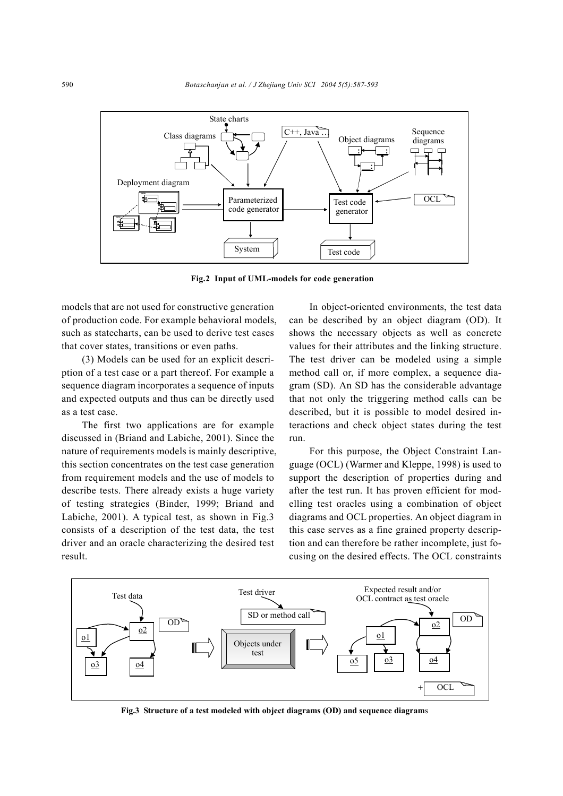

**Fig.2 Input of UML-models for code generation** 

models that are not used for constructive generation of production code. For example behavioral models, such as statecharts, can be used to derive test cases that cover states, transitions or even paths.

(3) Models can be used for an explicit description of a test case or a part thereof. For example a sequence diagram incorporates a sequence of inputs and expected outputs and thus can be directly used as a test case.

The first two applications are for example discussed in (Briand and Labiche, 2001). Since the nature of requirements models is mainly descriptive. this section concentrates on the test case generation from requirement models and the use of models to describe tests. There already exists a huge variety of testing strategies (Binder, 1999; Briand and Labiche, 2001). A typical test, as shown in Fig.3 consists of a description of the test data, the test driver and an oracle characterizing the desired test result.

In object-oriented environments, the test data can be described by an object diagram (OD). It shows the necessary objects as well as concrete values for their attributes and the linking structure. The test driver can be modeled using a simple method call or, if more complex, a sequence diagram (SD). An SD has the considerable advantage that not only the triggering method calls can be described, but it is possible to model desired interactions and check object states during the test run.

For this purpose, the Object Constraint Language (OCL) (Warmer and Kleppe, 1998) is used to support the description of properties during and after the test run. It has proven efficient for modelling test oracles using a combination of object diagrams and OCL properties. An object diagram in this case serves as a fine grained property description and can therefore be rather incomplete, just focusing on the desired effects. The OCL constraints



**Fig.3 Structure of a test modeled with object diagrams (OD) and sequence diagram**s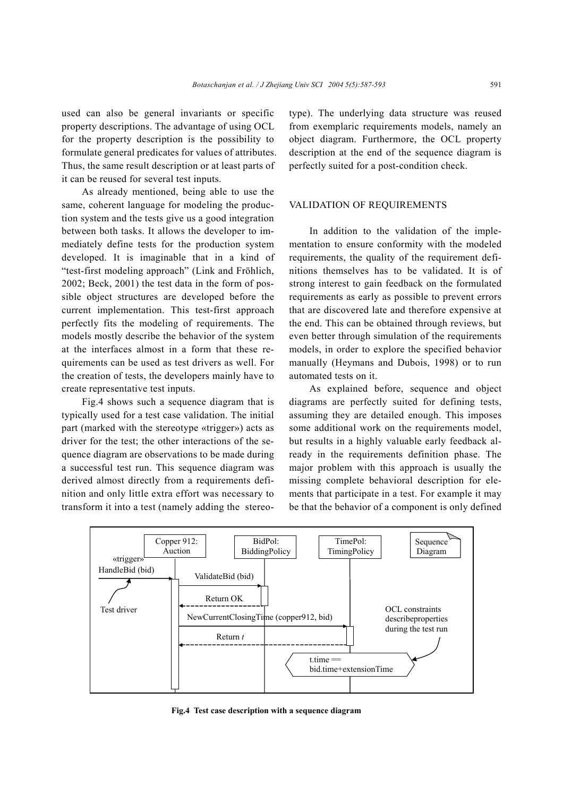used can also be general invariants or specific property descriptions. The advantage of using OCL for the property description is the possibility to formulate general predicates for values of attributes. Thus, the same result description or at least parts of it can be reused for several test inputs.

As already mentioned, being able to use the same, coherent language for modeling the production system and the tests give us a good integration between both tasks. It allows the developer to immediately define tests for the production system developed. It is imaginable that in a kind of "test-first modeling approach" (Link and Fröhlich, 2002; Beck, 2001) the test data in the form of possible object structures are developed before the current implementation. This test-first approach perfectly fits the modeling of requirements. The models mostly describe the behavior of the system at the interfaces almost in a form that these requirements can be used as test drivers as well. For the creation of tests, the developers mainly have to create representative test inputs.

Fig.4 shows such a sequence diagram that is typically used for a test case validation. The initial part (marked with the stereotype «trigger») acts as driver for the test; the other interactions of the sequence diagram are observations to be made during a successful test run. This sequence diagram was derived almost directly from a requirements definition and only little extra effort was necessary to transform it into a test (namely adding the stereotype). The underlying data structure was reused from exemplaric requirements models, namely an object diagram. Furthermore, the OCL property description at the end of the sequence diagram is perfectly suited for a post-condition check.

## VALIDATION OF REQUIREMENTS

In addition to the validation of the implementation to ensure conformity with the modeled requirements, the quality of the requirement definitions themselves has to be validated. It is of strong interest to gain feedback on the formulated requirements as early as possible to prevent errors that are discovered late and therefore expensive at the end. This can be obtained through reviews, but even better through simulation of the requirements models, in order to explore the specified behavior manually (Heymans and Dubois, 1998) or to run automated tests on it.

As explained before, sequence and object diagrams are perfectly suited for defining tests, assuming they are detailed enough. This imposes some additional work on the requirements model, but results in a highly valuable early feedback already in the requirements definition phase. The major problem with this approach is usually the missing complete behavioral description for elements that participate in a test. For example it may be that the behavior of a component is only defined



**Fig.4 Test case description with a sequence diagram**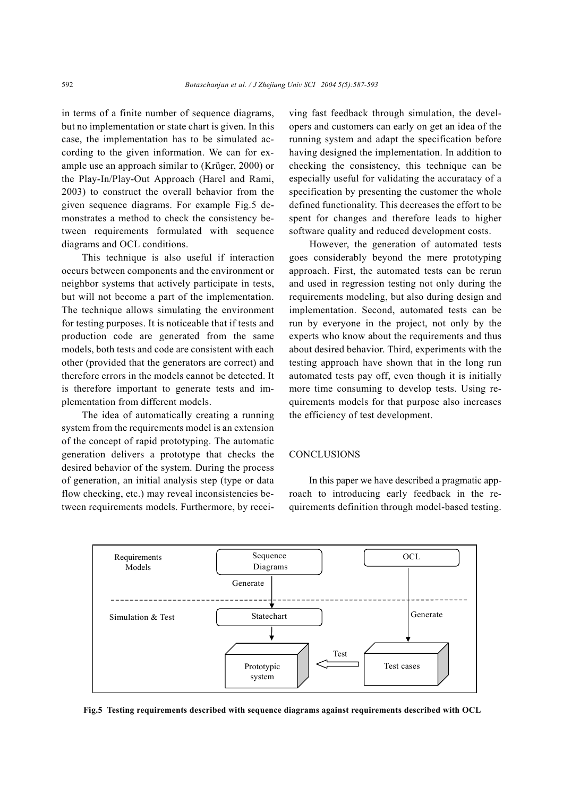in terms of a finite number of sequence diagrams, but no implementation or state chart is given. In this case, the implementation has to be simulated according to the given information. We can for example use an approach similar to (Krüger, 2000) or the Play-In/Play-Out Approach (Harel and Rami, 2003) to construct the overall behavior from the given sequence diagrams. For example Fig.5 demonstrates a method to check the consistency between requirements formulated with sequence diagrams and OCL conditions.

This technique is also useful if interaction occurs between components and the environment or neighbor systems that actively participate in tests, but will not become a part of the implementation. The technique allows simulating the environment for testing purposes. It is noticeable that if tests and production code are generated from the same models, both tests and code are consistent with each other (provided that the generators are correct) and therefore errors in the models cannot be detected. It is therefore important to generate tests and implementation from different models.

The idea of automatically creating a running system from the requirements model is an extension of the concept of rapid prototyping. The automatic generation delivers a prototype that checks the desired behavior of the system. During the process of generation, an initial analysis step (type or data flow checking, etc.) may reveal inconsistencies between requirements models. Furthermore, by receiving fast feedback through simulation, the developers and customers can early on get an idea of the running system and adapt the specification before having designed the implementation. In addition to checking the consistency, this technique can be especially useful for validating the accuratacy of a specification by presenting the customer the whole defined functionality. This decreases the effort to be spent for changes and therefore leads to higher software quality and reduced development costs.

However, the generation of automated tests goes considerably beyond the mere prototyping approach. First, the automated tests can be rerun and used in regression testing not only during the requirements modeling, but also during design and implementation. Second, automated tests can be run by everyone in the project, not only by the experts who know about the requirements and thus about desired behavior. Third, experiments with the testing approach have shown that in the long run automated tests pay off, even though it is initially more time consuming to develop tests. Using requirements models for that purpose also increases the efficiency of test development.

## **CONCLUSIONS**

In this paper we have described a pragmatic approach to introducing early feedback in the requirements definition through model-based testing.



**Fig.5 Testing requirements described with sequence diagrams against requirements described with OCL**